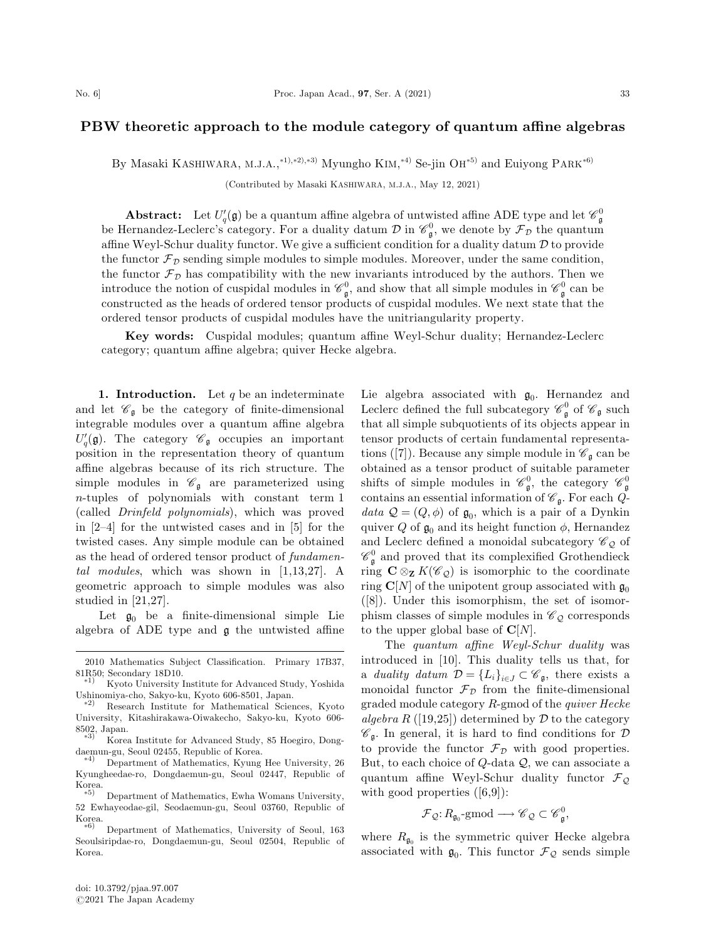## PBW theoretic approach to the module category of quantum affine algebras

By Masaki KASHIWARA, M.J.A.,\*<sup>1),\*2),\*3)</sup> Myungho KIM,\*<sup>4)</sup> Se-jin OH<sup>\*5)</sup> and Euiyong PARK<sup>\*6)</sup>

(Contributed by Masaki KASHIWARA, M.J.A., May 12, 2021)

**Abstract:** Let  $U_q'(\mathfrak{g})$  be a quantum affine algebra of untwisted affine ADE type and let  $\mathscr{C}_{\mathfrak{g}}^0$ be Hernandez-Leclerc's category. For a duality datum  $\mathcal D$  in  $\mathscr{C}_{\mathfrak{g}}^0$ , we denote by  $\mathcal F_{\mathcal D}$  the quantum affine Weyl-Schur duality functor. We give a sufficient condition for a duality datum  $\mathcal D$  to provide the functor  $\mathcal{F}_D$  sending simple modules to simple modules. Moreover, under the same condition, the functor  $\mathcal{F}_{\mathcal{D}}$  has compatibility with the new invariants introduced by the authors. Then we introduce the notion of cuspidal modules in  $\mathscr{C}_{\mathfrak{g}}^0$ , and show that all simple modules in  $\mathscr{C}_{\mathfrak{g}}^0$  can be constructed as the heads of ordered tensor products of cuspidal modules. We next state that the ordered tensor products of cuspidal modules have the unitriangularity property.

Key words: Cuspidal modules; quantum affine Weyl-Schur duality; Hernandez-Leclerc category; quantum affine algebra; quiver Hecke algebra.

1. Introduction. Let  $q$  be an indeterminate and let  $\mathscr{C}_{\mathfrak{g}}$  be the category of finite-dimensional integrable modules over a quantum affine algebra  $U_q(\mathfrak{g})$ . The category  $\mathscr{C}_{\mathfrak{g}}$  occupies an important position in the representation theory of quantum affine algebras because of its rich structure. The simple modules in  $\mathcal{C}_{\mathfrak{g}}$  are parameterized using n-tuples of polynomials with constant term 1 (called Drinfeld polynomials), which was proved in [2–4] for the untwisted cases and in [5] for the twisted cases. Any simple module can be obtained as the head of ordered tensor product of fundamental modules, which was shown in [1,13,27]. A geometric approach to simple modules was also studied in [21,27].

Let  $\mathfrak{g}_0$  be a finite-dimensional simple Lie algebra of ADE type and g the untwisted affine

Lie algebra associated with  $\mathfrak{g}_0$ . Hernandez and Leclerc defined the full subcategory  $\mathcal{C}_{\mathfrak{g}}^0$  of  $\mathcal{C}_{\mathfrak{g}}$  such that all simple subquotients of its objects appear in tensor products of certain fundamental representations ([7]). Because any simple module in  $\mathscr{C}_{\mathfrak{g}}$  can be obtained as a tensor product of suitable parameter shifts of simple modules in  $\mathcal{C}_{\mathfrak{g}}^0$ , the category  $\mathcal{C}_{\mathfrak{g}}^0$ contains an essential information of  $\mathscr{C}_{\mathfrak{g}}$ . For each  $Q$ data  $Q = (Q, \phi)$  of  $\mathfrak{g}_0$ , which is a pair of a Dynkin quiver Q of  $\mathfrak{g}_0$  and its height function  $\phi$ , Hernandez and Leclerc defined a monoidal subcategory  $\mathscr{C}_{\mathcal{Q}}$  of  $\mathscr{C}^0_\mathfrak{g}$  and proved that its complexified Grothendieck ring  $C \otimes_{\mathbf{Z}} K(\mathscr{C}_{\mathcal{Q}})$  is isomorphic to the coordinate ring  $\mathbf{C}[N]$  of the unipotent group associated with  $\mathfrak{g}_0$ ([8]). Under this isomorphism, the set of isomorphism classes of simple modules in  $\mathscr{C}_{\mathcal{Q}}$  corresponds to the upper global base of  $\mathbf{C}[N]$ .

The quantum affine Weyl-Schur duality was introduced in [10]. This duality tells us that, for a duality datum  $\mathcal{D} = \{L_i\}_{i \in J} \subset \mathscr{C}_{\mathfrak{g}}$ , there exists a monoidal functor  $\mathcal{F}_{\mathcal{D}}$  from the finite-dimensional graded module category R-gmod of the quiver Hecke algebra R ([19,25]) determined by  $D$  to the category  $\mathscr{C}_{\mathfrak{a}}$ . In general, it is hard to find conditions for  $\mathcal D$ to provide the functor  $\mathcal{F}_{\mathcal{D}}$  with good properties. But, to each choice of  $Q$ -data  $Q$ , we can associate a quantum affine Weyl-Schur duality functor  $\mathcal{F}_{\mathcal{Q}}$ with good properties  $([6,9])$ :

$$
\mathcal{F}_{\mathcal{Q}}: R_{\mathfrak{g}_0} \text{-}\mathsf{gmod} \longrightarrow \mathscr{C}_{\mathcal{Q}} \subset \mathscr{C}_{\mathfrak{g}}^0,
$$

where  $R_{\mathfrak{g}_0}$  is the symmetric quiver Hecke algebra associated with  $\mathfrak{g}_0$ . This functor  $\mathcal{F}_{\mathcal{Q}}$  sends simple

<sup>2010</sup> Mathematics Subject Classification. Primary 17B37,

<sup>81</sup>R50; Secondary 18D10.<br><sup>\*1)</sup> Kyoto University Institute for Advanced Study, Yoshida Ushinomiya-cho, Sakyo-ku, Kyoto 606-8501, Japan.<br>
<sup>\*2)</sup> Research Institute for Mathematical Sciences, Kyoto

University, Kitashirakawa-Oiwakecho, Sakyo-ku, Kyoto 606- 8502, Japan.

Korea Institute for Advanced Study, 85 Hoegiro, Dongdaemun-gu, Seoul 02455, Republic of Korea. -

<sup>4</sup><sup>Þ</sup> Department of Mathematics, Kyung Hee University, 26 Kyungheedae-ro, Dongdaemun-gu, Seoul 02447, Republic of  $K$ orea.

Department of Mathematics, Ewha Womans University, 52 Ewhayeodae-gil, Seodaemun-gu, Seoul 03760, Republic of Korea

 $\ast 6)$  Department of Mathematics, University of Seoul, 163 Seoulsiripdae-ro, Dongdaemun-gu, Seoul 02504, Republic of Korea.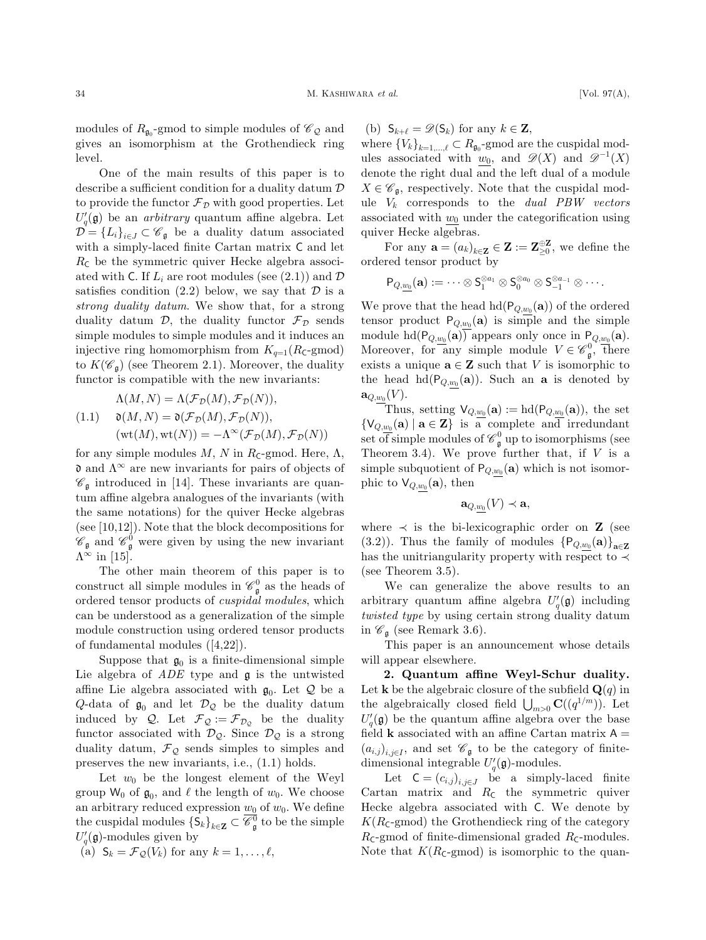modules of  $R_{\mathfrak{g}_0}$ -gmod to simple modules of  $\mathscr{C}_{\mathcal{Q}}$  and gives an isomorphism at the Grothendieck ring level.

One of the main results of this paper is to describe a sufficient condition for a duality datum D to provide the functor  $\mathcal{F}_{\mathcal{D}}$  with good properties. Let  $U_q(\mathfrak{g})$  be an *arbitrary* quantum affine algebra. Let  $\mathcal{D} = \{L_i\}_{i \in J} \subset \mathscr{C}_{\mathfrak{g}}$  be a duality datum associated with a simply-laced finite Cartan matrix C and let  $R_{\rm C}$  be the symmetric quiver Hecke algebra associated with C. If  $L_i$  are root modules (see (2.1)) and  $\mathcal D$ satisfies condition  $(2.2)$  below, we say that  $\mathcal D$  is a strong duality datum. We show that, for a strong duality datum  $\mathcal{D}$ , the duality functor  $\mathcal{F}_{\mathcal{D}}$  sends simple modules to simple modules and it induces an injective ring homomorphism from  $K_{q=1}(R_{\mathsf{C}}\text{-}\mathrm{gmod})$ to  $K(\mathscr{C}_{\mathfrak{g}})$  (see Theorem 2.1). Moreover, the duality functor is compatible with the new invariants:

$$
\Lambda(M, N) = \Lambda(\mathcal{F}_D(M), \mathcal{F}_D(N)),
$$
  
(1.1) 
$$
\mathfrak{d}(M, N) = \mathfrak{d}(\mathcal{F}_D(M), \mathcal{F}_D(N)),
$$
  

$$
(\text{wt}(M), \text{wt}(N)) = -\Lambda^{\infty}(\mathcal{F}_D(M), \mathcal{F}_D(N))
$$

for any simple modules  $M$ ,  $N$  in  $R_{\text{C}}$ -gmod. Here,  $\Lambda$ ,  $\mathfrak d$  and  $\Lambda^\infty$  are new invariants for pairs of objects of  $\mathscr{C}_{\mathfrak{g}}$  introduced in [14]. These invariants are quantum affine algebra analogues of the invariants (with the same notations) for the quiver Hecke algebras (see [10,12]). Note that the block decompositions for  $\mathscr{C}_{\mathfrak{g}}$  and  $\mathscr{C}_{\mathfrak{g}}^0$  were given by using the new invariant  $\Lambda^{\infty}$  in [15].

The other main theorem of this paper is to construct all simple modules in  $\mathscr{C}^0_{\mathfrak{g}}$  as the heads of ordered tensor products of cuspidal modules, which can be understood as a generalization of the simple module construction using ordered tensor products of fundamental modules ([4,22]).

Suppose that  $\mathfrak{g}_0$  is a finite-dimensional simple Lie algebra of  $ADE$  type and  $\mathfrak g$  is the untwisted affine Lie algebra associated with  $\mathfrak{g}_0$ . Let  $\mathcal Q$  be a Q-data of  $\mathfrak{g}_0$  and let  $\mathcal{D}_{\mathcal{Q}}$  be the duality datum induced by Q. Let  $\mathcal{F}_{\mathcal{Q}} := \mathcal{F}_{\mathcal{D}_{\mathcal{Q}}}$  be the duality functor associated with  $\mathcal{D}_{\mathcal{Q}}$ . Since  $\mathcal{D}_{\mathcal{Q}}$  is a strong duality datum,  $\mathcal{F}_{\mathcal{Q}}$  sends simples to simples and preserves the new invariants, i.e., (1.1) holds.

Let  $w_0$  be the longest element of the Weyl group W<sub>0</sub> of  $\mathfrak{g}_0$ , and  $\ell$  the length of  $w_0$ . We choose an arbitrary reduced expression  $\underline{w_0}$  of  $w_0$ . We define the cuspidal modules  $\{S_k\}_{k\in\mathbf{Z}} \subset \overline{\mathscr{C}_{\mathfrak{g}}^0}$  to be the simple  $U_q'(\mathfrak{g})$ -modules given by

(a)  $S_k = \mathcal{F}_{\mathcal{Q}}(V_k)$  for any  $k = 1, \ldots, \ell$ ,

(b)  $S_{k+\ell} = \mathscr{D}(S_k)$  for any  $k \in \mathbf{Z}$ ,

where  ${V_k}_{k=1,\dots,\ell} \subset R_{\mathfrak{g}_0}$ -gmod are the cuspidal modules associated with  $w_0$ , and  $\mathscr{D}(X)$  and  $\mathscr{D}^{-1}(X)$ denote the right dual and the left dual of a module  $X \in \mathscr{C}_{\mathfrak{a}}$ , respectively. Note that the cuspidal module  $V_k$  corresponds to the *dual PBW vectors* associated with  $w_0$  under the categorification using quiver Hecke algebras.

For any  $\mathbf{a} = (a_k)_{k \in \mathbf{Z}} \in \mathbf{Z} := \mathbf{Z}_{\geq 0}^{\oplus \mathbf{Z}}$ , we define the ordered tensor product by

$$
\mathsf{P}_{Q,\underline{w_0}}(\mathbf{a}):=\cdots\otimes \mathsf{S}_1^{\otimes a_1}\otimes \mathsf{S}_0^{\otimes a_0}\otimes \mathsf{S}_{-1}^{\otimes a_{-1}}\otimes \cdots.
$$

We prove that the head  $hd(P_{Q,w_0}(\mathbf{a}))$  of the ordered tensor product  $P_{Q,w_0}(\mathbf{a})$  is simple and the simple module hd $(P_{Q,w_0}(\mathbf{a}))$  appears only once in  $P_{Q,w_0}(\mathbf{a})$ . Moreover, for any simple module  $V \in \mathscr{C}_{\mathfrak{g}}^0$ , there exists a unique  $\mathbf{a} \in \mathbf{Z}$  such that V is isomorphic to the head hd $(P_{Q,w_0}(\mathbf{a}))$ . Such an **a** is denoted by  $\mathbf{a}_{Q,w_0}(V)$ .

Thus, setting  $\mathsf{V}_{Q,w_0}(\mathbf{a}) := \text{hd}(\mathsf{P}_{Q,w_0}(\mathbf{a}))$ , the set  $\{V_{Q,w_0}(\mathbf{a}) \mid \mathbf{a} \in \mathbf{Z}\}\$ is a complete and irredundant set of simple modules of  $\mathcal{C}_{\mathfrak{g}}^0$  up to isomorphisms (see Theorem 3.4). We prove further that, if  $V$  is a simple subquotient of  $P_{Q,\underline{w_0}}(\mathbf{a})$  which is not isomorphic to  $\mathsf{V}_{Q,w_0}(\mathbf{a})$ , then

$$
\mathbf{a}_{Q,w_0}(V)\prec \mathbf{a},
$$

where  $\prec$  is the bi-lexicographic order on **Z** (see (3.2)). Thus the family of modules  ${P_{Q,w_0}(\mathbf{a})}_{\mathbf{a}\in\mathbf{Z}}$ has the unitriangularity property with respect to  $\prec$ (see Theorem 3.5).

We can generalize the above results to an arbitrary quantum affine algebra  $U_q'(\mathfrak{g})$  including twisted type by using certain strong duality datum in  $\mathscr{C}_{\mathfrak{g}}$  (see Remark 3.6).

This paper is an announcement whose details will appear elsewhere.

2. Quantum affine Weyl-Schur duality. Let **k** be the algebraic closure of the subfield  $\mathbf{Q}(q)$  in the algebraically closed field  $\bigcup_{m>0} \mathbf{C}((q^{1/m}))$ . Let  $U_q(\mathfrak{g})$  be the quantum affine algebra over the base field **k** associated with an affine Cartan matrix  $A =$  $(a_{i,j})_{i,i\in I}$ , and set  $\mathscr{C}_{\mathfrak{g}}$  to be the category of finitedimensional integrable  $U_q'(\mathfrak{g})$ -modules.

Let  $C = (c_{i,j})_{i,j \in J}$  be a simply-laced finite Cartan matrix and  $R_c$  the symmetric quiver Hecke algebra associated with C. We denote by  $K(R_{\mathsf{C}}\text{-}\mathrm{gmod})$  the Grothendieck ring of the category  $R_{\text{C}}$ -gmod of finite-dimensional graded  $R_{\text{C}}$ -modules. Note that  $K(R_{\mathsf{C}}\text{-}\mathrm{gmod})$  is isomorphic to the quan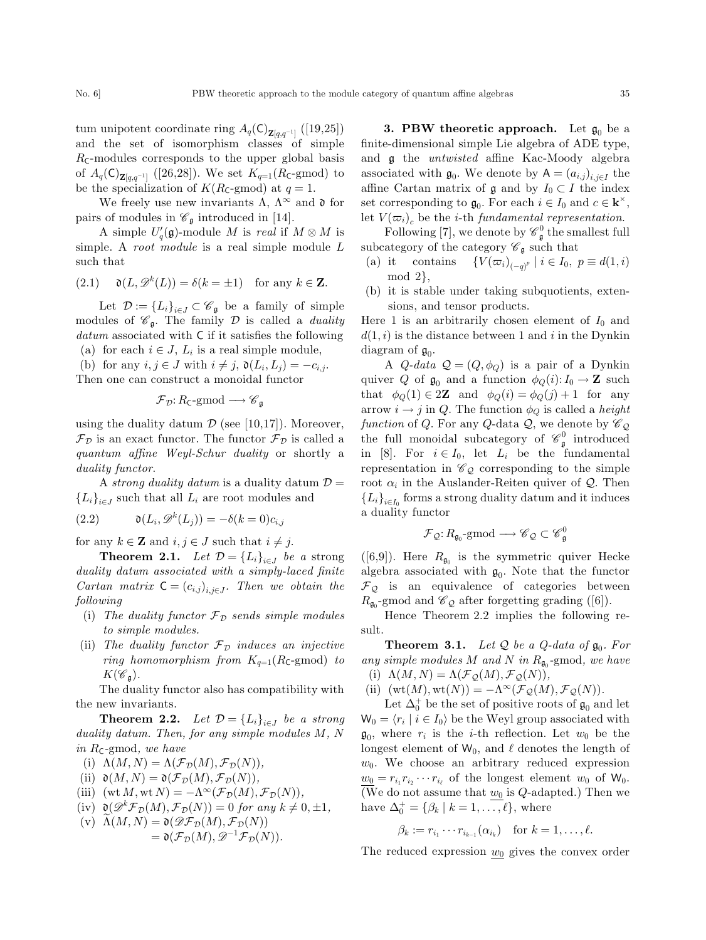tum unipotent coordinate ring  $A_q(\mathsf{C})_{\mathbf{Z}[q,q^{-1}]}\left([19,25]\right)$ and the set of isomorphism classes of simple  $R_{\text{C}}$ -modules corresponds to the upper global basis of  $A_q(\mathsf{C})_{\mathbf{Z}[q,q^{-1}]}$  ([26,28]). We set  $K_{q=1}(R_{\mathsf{C}}\text{-}\mathrm{gmod})$  to be the specialization of  $K(R_{\rm C}\text{-}\text{gmod})$  at  $q=1$ .

We freely use new invariants  $\Lambda$ ,  $\Lambda^{\infty}$  and  $\mathfrak{d}$  for pairs of modules in  $\mathcal{C}_{\mathfrak{g}}$  introduced in [14].

A simple  $U_q'(\mathfrak{g})$ -module M is real if  $M \otimes M$  is simple. A *root module* is a real simple module L such that

(2.1) 
$$
\mathfrak{d}(L, \mathcal{D}^k(L)) = \delta(k = \pm 1) \text{ for any } k \in \mathbf{Z}.
$$

Let  $\mathcal{D} := \{L_i\}_{i \in J} \subset \mathscr{C}_{\mathfrak{g}}$  be a family of simple modules of  $\mathscr{C}_{\mathfrak{a}}$ . The family  $\mathcal D$  is called a *duality* datum associated with C if it satisfies the following

(a) for each  $i \in J$ ,  $L_i$  is a real simple module,

(b) for any  $i, j \in J$  with  $i \neq j$ ,  $\mathfrak{d}(L_i, L_j) = -c_{i,j}$ . Then one can construct a monoidal functor

$$
\mathcal{F}_{\mathcal{D}}\text{: }R_{\mathsf{C}}\text{-}\mathrm{gmod}\longrightarrow \mathscr{C}_{\mathfrak{g}}
$$

using the duality datum  $\mathcal D$  (see [10,17]). Moreover,  $\mathcal{F}_{\mathcal{D}}$  is an exact functor. The functor  $\mathcal{F}_{\mathcal{D}}$  is called a quantum affine Weyl-Schur duality or shortly a duality functor.

A strong duality datum is a duality datum  $\mathcal{D} =$  ${L_i}_{i \in J}$  such that all  $L_i$  are root modules and

(2.2) 
$$
\mathfrak{d}(L_i, \mathcal{D}^k(L_j)) = -\delta(k=0)c_{i,j}
$$

for any  $k \in \mathbb{Z}$  and  $i, j \in J$  such that  $i \neq j$ .

**Theorem 2.1.** Let  $\mathcal{D} = \{L_i\}_{i \in J}$  be a strong duality datum associated with a simply-laced finite Cartan matrix  $C = (c_{i,j})_{i,j \in J}$ . Then we obtain the following

- (i) The duality functor  $\mathcal{F}_{\mathcal{D}}$  sends simple modules to simple modules.
- (ii) The duality functor  $\mathcal{F}_{\mathcal{D}}$  induces an injective ring homomorphism from  $K_{q=1}(R_{\text{C}}-g\text{mod})$  to  $K(\mathscr{C}_{\mathfrak{a}}).$

The duality functor also has compatibility with the new invariants.

**Theorem 2.2.** Let  $\mathcal{D} = \{L_i\}_{i \in J}$  be a strong duality datum. Then, for any simple modules M, N in  $R_{\mathsf{C}}$ -gmod, we have

- (i)  $\Lambda(M, N) = \Lambda(\mathcal{F}_\mathcal{D}(M), \mathcal{F}_\mathcal{D}(N)),$
- (ii)  $\mathfrak{d}(M,N) = \mathfrak{d}(\mathcal{F}_\mathcal{D}(M), \mathcal{F}_\mathcal{D}(N)),$
- (iii)  $(\text{wt } M, \text{wt } N) = -\Lambda^\infty(\mathcal{F}_\mathcal{D}(M), \mathcal{F}_\mathcal{D}(N)),$
- (iv)  $\mathfrak{d}(\mathcal{D}^k \mathcal{F}_\mathcal{D}(M), \mathcal{F}_\mathcal{D}(N)) = 0$  for any  $k \neq 0, \pm 1$ ,

(v) 
$$
\widehat{\Lambda}(M, N) = \mathfrak{d}(\mathcal{D}\mathcal{F}_D(M), \mathcal{F}_D(N))
$$
  
=  $\mathfrak{d}(\mathcal{F}_D(M), \mathcal{D}^{-1}\mathcal{F}_D(N)).$ 

**3. PBW theoretic approach.** Let  $\mathfrak{g}_0$  be a finite-dimensional simple Lie algebra of ADE type, and g the untwisted affine Kac-Moody algebra associated with  $\mathfrak{g}_0$ . We denote by  $A = (a_{i,j})_{i,j \in I}$  the affine Cartan matrix of  $\mathfrak g$  and by  $I_0 \subset I$  the index set corresponding to  $\mathfrak{g}_0$ . For each  $i \in I_0$  and  $c \in \mathbf{k}^{\times}$ , let  $V(\varpi_i)$ , be the *i*-th *fundamental representation*.

Following [7], we denote by  $\mathcal{C}_{\mathfrak{g}}^0$  the smallest full subcategory of the category  $\mathscr{C}_{\mathfrak{a}}$  such that

- (a) it contains  $\{V(\varpi_i)_{(-q)^p} \mid i \in I_0, p \equiv d(1,i)\}$  $mod 2$ ,
- (b) it is stable under taking subquotients, extensions, and tensor products.

Here 1 is an arbitrarily chosen element of  $I_0$  and  $d(1, i)$  is the distance between 1 and i in the Dynkin diagram of  $\mathfrak{g}_0$ .

A  $Q$ -data  $Q = (Q, \phi_Q)$  is a pair of a Dynkin quiver Q of  $\mathfrak{g}_0$  and a function  $\phi_Q(i): I_0 \to \mathbb{Z}$  such that  $\phi_Q(1) \in 2\mathbb{Z}$  and  $\phi_Q(i) = \phi_Q(j) + 1$  for any arrow  $i \to j$  in Q. The function  $\phi_Q$  is called a *height* function of Q. For any Q-data  $\mathcal{Q}$ , we denote by  $\mathscr{C}_{\mathcal{Q}}$ the full monoidal subcategory of  $\mathcal{C}_{\mathfrak{g}}^0$  introduced in [8]. For  $i \in I_0$ , let  $L_i$  be the fundamental representation in  $\mathcal{C}_{\mathcal{Q}}$  corresponding to the simple root  $\alpha_i$  in the Auslander-Reiten quiver of  $\mathcal Q$ . Then  ${L_i}_{i \in I_0}$  forms a strong duality datum and it induces a duality functor

$$
\mathcal{F}_{\mathcal{Q}}\text{:}\ \it R_{\mathfrak{g}_0}\text{-}\mathrm{gmod}\longrightarrow \mathscr{C}_{\mathcal{Q}}\subset \mathscr{C}_{\mathfrak{g}}^0
$$

([6,9]). Here  $R_{\mathfrak{g}_0}$  is the symmetric quiver Hecke algebra associated with  $\mathfrak{g}_0$ . Note that the functor  $\mathcal{F}_{\mathcal{Q}}$  is an equivalence of categories between  $R_{\mathfrak{q}_0}$ -gmod and  $\mathcal{C}_{\mathcal{Q}}$  after forgetting grading ([6]).

Hence Theorem 2.2 implies the following result.

**Theorem 3.1.** Let Q be a Q-data of  $\mathfrak{g}_0$ . For any simple modules M and N in  $R_{\mathfrak{g}_0}$ -gmod, we have (i)  $\Lambda(M, N) = \Lambda(\mathcal{F}_{\mathcal{Q}}(M), \mathcal{F}_{\mathcal{Q}}(N)),$ 

(ii)  $(wt(M), wt(N)) = -\Lambda^{\infty}(\mathcal{F}_{\mathcal{Q}}(M), \mathcal{F}_{\mathcal{Q}}(N)).$ 

Let  $\Delta_0^+$  be the set of positive roots of  $\mathfrak{g}_0$  and let  $W_0 = \langle r_i | i \in I_0 \rangle$  be the Weyl group associated with  $\mathfrak{g}_0$ , where  $r_i$  is the *i*-th reflection. Let  $w_0$  be the longest element of  $W_0$ , and  $\ell$  denotes the length of  $w_0$ . We choose an arbitrary reduced expression  $w_0 = r_{i_1} r_{i_2} \cdots r_{i_\ell}$  of the longest element  $w_0$  of  $W_0$ . (We do not assume that  $w_0$  is  $Q$ -adapted.) Then we have  $\Delta_0^+ = \{\beta_k \mid k = 1, \ldots, \ell\},\$  where

$$
\beta_k := r_{i_1} \cdots r_{i_{k-1}}(\alpha_{i_k}) \quad \text{for } k = 1, \ldots, \ell.
$$

The reduced expression  $w_0$  gives the convex order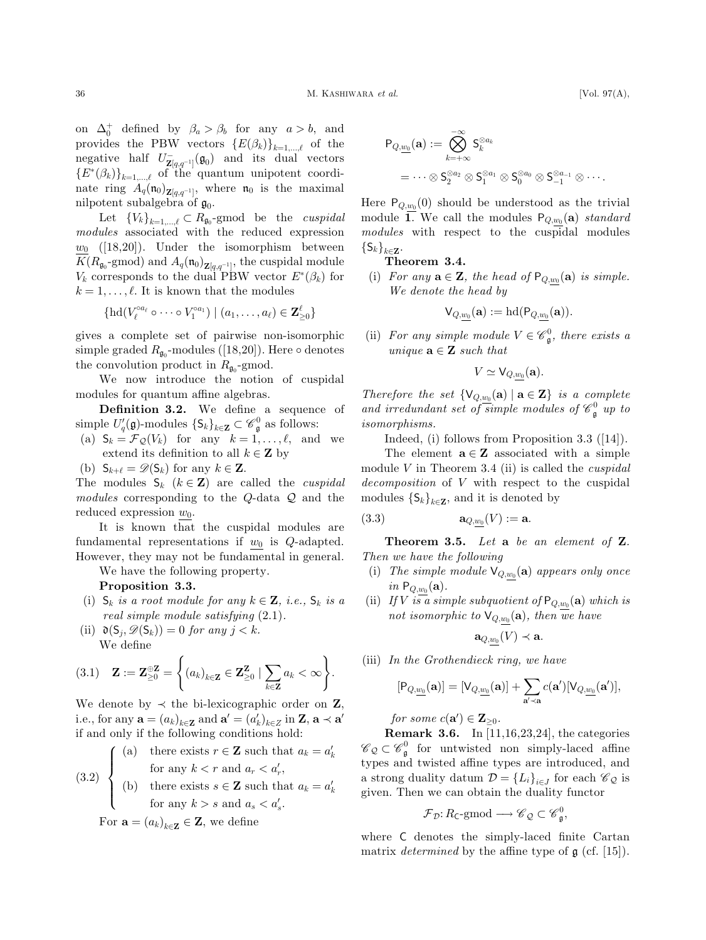on  $\Delta_0^+$  defined by  $\beta_a > \beta_b$  for any  $a > b$ , and provides the PBW vectors  $\{E(\beta_k)\}_{k=1,\dots,\ell}$  of the negative half  $U_{\mathbf{Z}[q,q^{-1}]}^{\dagger}(\mathfrak{g}_0)$  and its dual vectors  ${E^*(\beta_k)}_{k=1,\dots,\ell}$  of the quantum unipotent coordinate ring  $A_q(\mathfrak{n}_0)_{\mathbf{Z}[q,q^{-1}]}$ , where  $\mathfrak{n}_0$  is the maximal nilpotent subalgebra of  $\mathfrak{g}_0$ .

Let  ${V_k}_{k=1,\dots,\ell} \subset R_{\mathfrak{g}_0}$ -gmod be the *cuspidal* modules associated with the reduced expression  $w_0$  ([18,20]). Under the isomorphism between  $K(R_{\mathfrak{g}_0} \text{-gmod})$  and  $A_q(\mathfrak{n}_0)_{\mathbf{Z}[q,q^{-1}]},$  the cuspidal module  $V_k$  corresponds to the dual PBW vector  $E^*(\beta_k)$  for  $k = 1, \ldots, \ell$ . It is known that the modules

$$
\{\mathrm{hd}(V_\ell^{\circ a_\ell}\circ\cdots\circ V_1^{\circ a_1})\mid (a_1,\ldots,a_\ell)\in\mathbf{Z}_{\geq 0}^\ell\}
$$

gives a complete set of pairwise non-isomorphic simple graded  $R_{\mathfrak{g}_0}$ -modules ([18,20]). Here  $\circ$  denotes the convolution product in  $R_{\mathfrak{q}_0}$ -gmod.

We now introduce the notion of cuspidal modules for quantum affine algebras.

Definition 3.2. We define a sequence of simple  $U_q'(\mathfrak{g})$ -modules  $\{S_k\}_{k\in\mathbf{Z}}\subset\mathscr{C}^0_{\mathfrak{g}}$  as follows:

(a)  $S_k = \mathcal{F}_{\mathcal{Q}}(V_k)$  for any  $k = 1, \ldots, \ell$ , and we extend its definition to all  $k \in \mathbb{Z}$  by

(b)  $S_{k+\ell} = \mathscr{D}(S_k)$  for any  $k \in \mathbb{Z}$ .

The modules  $S_k$   $(k \in \mathbb{Z})$  are called the *cuspidal* modules corresponding to the Q-data Q and the reduced expression  $w_0$ .

It is known that the cuspidal modules are fundamental representations if  $w_0$  is  $Q$ -adapted. However, they may not be fundamental in general.

We have the following property.

Proposition 3.3.

- (i)  $S_k$  is a root module for any  $k \in \mathbf{Z}$ , i.e.,  $S_k$  is a real simple module satisfying (2.1).
- (ii)  $\mathfrak{d}(S_i, \mathscr{D}(S_k)) = 0$  for any  $j < k$ . We define

$$
(3.1) \quad \mathbf{Z} := \mathbf{Z}_{\geq 0}^{\oplus \mathbf{Z}} = \left\{ (a_k)_{k \in \mathbf{Z}} \in \mathbf{Z}_{\geq 0}^{\mathbf{Z}} \mid \sum_{k \in \mathbf{Z}} a_k < \infty \right\}.
$$

We denote by  $\prec$  the bi-lexicographic order on Z, i.e., for any  $\mathbf{a} = (a_k)_{k \in \mathbb{Z}}$  and  $\mathbf{a}' = (a'_k)_{k \in \mathbb{Z}}$  in  $\mathbb{Z}, \mathbf{a} \prec \mathbf{a}'$ if and only if the following conditions hold:

(a) there exists 
$$
r \in \mathbf{Z}
$$
 such that  $a_k = a'_k$   
for any  $k < r$  and  $a_r < a'_r$ ,

(3.2)   
 (b) there exists 
$$
s \in \mathbf{Z}
$$
 such that  $a_k = a'_k$   
for any  $k > s$  and  $a_s < a'_s$ .

For  $\mathbf{a} = (a_k)_{k \in \mathbf{Z}} \in \mathbf{Z}$ , we define

$$
\begin{aligned} \mathsf{P}_{Q,\underline{w_0}}(\mathbf{a}) &:= \bigotimes_{k=+\infty}^{-\infty} \mathsf{S}_k^{\otimes a_k} \\ & = \cdots \otimes \mathsf{S}_2^{\otimes a_2} \otimes \mathsf{S}_1^{\otimes a_1} \otimes \mathsf{S}_0^{\otimes a_0} \otimes \mathsf{S}_{-1}^{\otimes a_{-1}} \otimes \cdots. \end{aligned}
$$

Here  $P_{Q,w_0}(0)$  should be understood as the trivial module  $\overline{1}$ . We call the modules  $P_{Q,w_0}(\mathbf{a})$  standard modules with respect to the cuspidal modules  $\{\mathsf S_k\}_{k\in\mathbf Z}$ .

Theorem 3.4.

(i) For any  $\mathbf{a} \in \mathbf{Z}$ , the head of  $P_{Q,w_0}(\mathbf{a})$  is simple. We denote the head by

$$
\mathsf{V}_{Q,w_0}(\mathbf{a}):=\mathrm{hd}(\mathsf{P}_{Q,w_0}(\mathbf{a})).
$$

(ii) For any simple module  $V \in \mathscr{C}_{\mathfrak{g}}^0$ , there exists a unique  $\mathbf{a} \in \mathbf{Z}$  such that

$$
V \simeq \mathsf{V}_{Q,\underline{w_0}}(\mathbf{a}).
$$

Therefore the set  $\{V_{Q,w_0}(\mathbf{a}) \mid \mathbf{a} \in \mathbf{Z}\}\$ is a complete and irredundant set of simple modules of  $\mathscr{C}_{\mathfrak{g}}^0$  up to isomorphisms.

Indeed, (i) follows from Proposition 3.3 ([14]).

The element  $\mathbf{a} \in \mathbf{Z}$  associated with a simple module V in Theorem 3.4 (ii) is called the *cuspidal* decomposition of V with respect to the cuspidal modules  $\{\mathsf{S}_k\}_{k\in\mathbb{Z}}$ , and it is denoted by

$$
(3.3) \qquad \qquad \mathbf{a}_{Q,w_0}(V):=\mathbf{a}.
$$

Theorem 3.5. Let a be an element of Z. Then we have the following

- (i) The simple module  $\mathsf{V}_{Q,w_0}(\mathbf{a})$  appears only once in  $P_{Q,w_0}(\mathbf{a})$ .
- (ii) If V is a simple subquotient of  $P_{Q,w_0}(\mathbf{a})$  which is not isomorphic to  $\mathsf{V}_{Q,w_0}(\mathbf{a})$ , then we have

$$
\mathbf{a}_{Q,w_0}(V)\prec \mathbf{a}.
$$

(iii) In the Grothendieck ring, we have

$$
[\mathsf{P}_{Q,\underline{w_0}}(\mathbf{a})] = [\mathsf{V}_{Q,\underline{w_0}}(\mathbf{a})] + \sum_{\mathbf{a}' \prec \mathbf{a}} c(\mathbf{a}') [\mathsf{V}_{Q,\underline{w_0}}(\mathbf{a}')],
$$

for some  $c(\mathbf{a}') \in \mathbf{Z}_{\geq 0}$ .

Remark 3.6. In [11,16,23,24], the categories  $\mathscr{C}_{\mathcal{Q}} \subset \mathscr{C}_{\mathfrak{g}}^0$  for untwisted non simply-laced affine types and twisted affine types are introduced, and a strong duality datum  $\mathcal{D} = \{L_i\}_{i \in J}$  for each  $\mathscr{C}_{\mathcal{Q}}$  is given. Then we can obtain the duality functor

$$
\mathcal{F}_{\mathcal{D}}: R_{\mathsf{C}}\text{-}\mathrm{gmod} \longrightarrow \mathscr{C}_{\mathcal{Q}} \subset \mathscr{C}_{\mathfrak{g}}^0,
$$

where C denotes the simply-laced finite Cartan matrix *determined* by the affine type of  $\mathfrak{g}$  (cf. [15]).